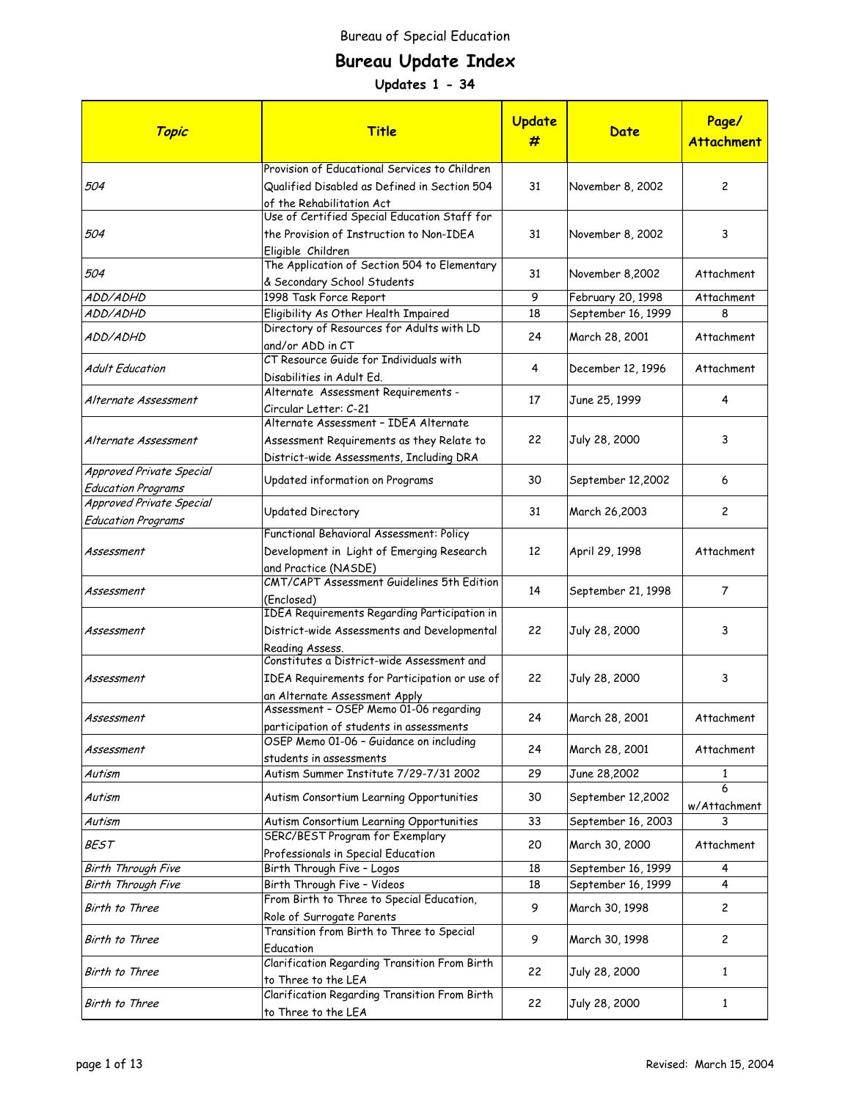# **Bureau Update Index**

| Topic                                                 | <b>Title</b>                                                                                                                 | Update<br># | Date               | Page/<br><b>Attachment</b> |
|-------------------------------------------------------|------------------------------------------------------------------------------------------------------------------------------|-------------|--------------------|----------------------------|
| 504                                                   | Provision of Educational Services to Children<br>Qualified Disabled as Defined in Section 504                                | 31          | November 8, 2002   | $\overline{c}$             |
|                                                       | of the Rehabilitation Act<br>Use of Certified Special Education Staff for                                                    |             |                    |                            |
| 504                                                   | the Provision of Instruction to Non-IDEA<br>Eligible Children                                                                | 31          | November 8, 2002   | 3                          |
| 504                                                   | The Application of Section 504 to Elementary<br>& Secondary School Students                                                  | 31          | November 8,2002    | Attachment                 |
| ADD/ADHD                                              | 1998 Task Force Report                                                                                                       | 9           | February 20, 1998  | Attachment                 |
| ADD/ADHD                                              | Eligibility As Other Health Impaired                                                                                         | 18          | September 16, 1999 | 8                          |
| ADD/ADHD                                              | Directory of Resources for Adults with LD<br>and/or ADD in CT                                                                | 24          | March 28, 2001     | Attachment                 |
| <b>Adult Education</b>                                | CT Resource Guide for Individuals with<br>Disabilities in Adult Ed.                                                          | 4           | December 12, 1996  | Attachment                 |
| Alternate Assessment                                  | Alternate Assessment Requirements -<br>Circular Letter: C-21                                                                 | 17          | June 25, 1999      | 4                          |
| Alternate Assessment                                  | Alternate Assessment - IDEA Alternate<br>Assessment Requirements as they Relate to                                           | 22          | July 28, 2000      | 3                          |
| Approved Private Special<br><b>Education Programs</b> | District-wide Assessments, Including DRA<br>Updated information on Programs                                                  | 30          | September 12,2002  | 6                          |
| Approved Private Special<br><b>Education Programs</b> | Updated Directory                                                                                                            | 31          | March 26,2003      | $\mathbf{2}$               |
| Assessment                                            | Functional Behavioral Assessment: Policy<br>Development in Light of Emerging Research<br>and Practice (NASDE)                | 12          | April 29, 1998     | Attachment                 |
| Assessment                                            | CMT/CAPT Assessment Guidelines 5th Edition<br>(Enclosed)                                                                     | 14          | September 21, 1998 | 7                          |
| Assessment                                            | <b>IDEA Requirements Regarding Participation in</b><br>District-wide Assessments and Developmental<br>Reading Assess.        | 22          | July 28, 2000      | 3                          |
| Assessment                                            | Constitutes a District-wide Assessment and<br>IDEA Requirements for Participation or use of<br>an Alternate Assessment Apply | 22          | July 28, 2000      | 3                          |
| Assessment                                            | Assessment - OSEP Memo 01-06 regarding<br>participation of students in assessments                                           | 24          | March 28, 2001     | Attachment                 |
| Assessment                                            | OSEP Memo 01-06 - Guidance on including<br>students in assessments                                                           | 24          | March 28, 2001     | Attachment                 |
| Autism                                                | Autism Summer Institute 7/29-7/31 2002                                                                                       | 29          | June 28,2002       | 1                          |
| Autism                                                | Autism Consortium Learning Opportunities                                                                                     | 30          | September 12,2002  | 6<br>w/Attachment          |
| Autism                                                | Autism Consortium Learning Opportunities                                                                                     | 33          | September 16, 2003 | 3                          |
| <i>BEST</i>                                           | SERC/BEST Program for Exemplary<br>Professionals in Special Education                                                        | 20          | March 30, 2000     | Attachment                 |
| Birth Through Five                                    | Birth Through Five - Logos                                                                                                   | 18          | September 16, 1999 | 4                          |
| Birth Through Five                                    | Birth Through Five - Videos                                                                                                  | 18          | September 16, 1999 | 4                          |
| Birth to Three                                        | From Birth to Three to Special Education,<br>Role of Surrogate Parents                                                       | 9           | March 30, 1998     | $\overline{c}$             |
| Birth to Three                                        | Transition from Birth to Three to Special<br>Education                                                                       | 9           | March 30, 1998     | $\overline{c}$             |
| Birth to Three                                        | Clarification Regarding Transition From Birth<br>to Three to the LEA                                                         | 22          | July 28, 2000      | 1                          |
| Birth to Three                                        | Clarification Regarding Transition From Birth<br>to Three to the LEA                                                         | 22          | July 28, 2000      | $\mathbf{1}$               |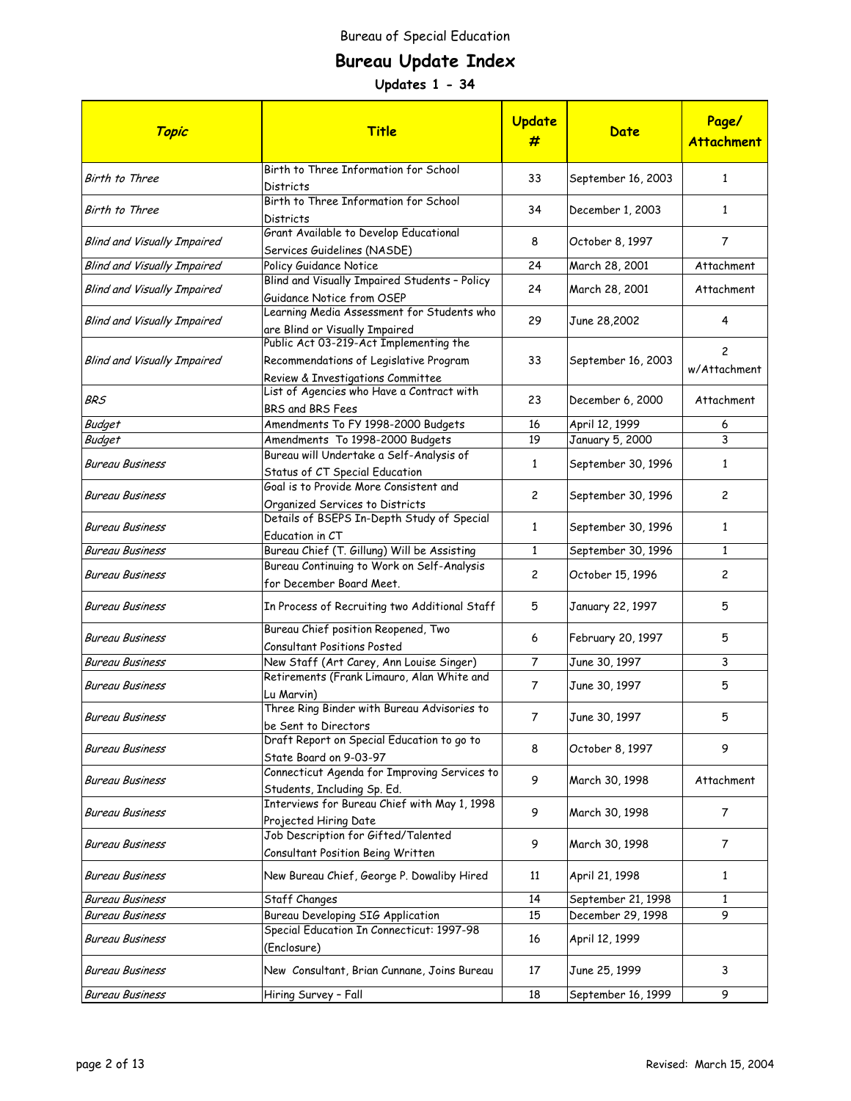# **Bureau Update Index**

| Topic                              | <b>Title</b>                                                                                                          | <b>Update</b><br>#      | Date               | Page/<br><b>Attachment</b> |
|------------------------------------|-----------------------------------------------------------------------------------------------------------------------|-------------------------|--------------------|----------------------------|
| Birth to Three                     | Birth to Three Information for School<br>Districts                                                                    | 33                      | September 16, 2003 | $\mathbf{1}$               |
| Birth to Three                     | Birth to Three Information for School<br>Districts                                                                    | 34                      | December 1, 2003   | 1                          |
| <b>Blind and Visually Impaired</b> | Grant Available to Develop Educational<br>Services Guidelines (NASDE)                                                 | 8                       | October 8, 1997    | 7                          |
| <b>Blind and Visually Impaired</b> | Policy Guidance Notice                                                                                                | 24                      | March 28, 2001     | Attachment                 |
| <b>Blind and Visually Impaired</b> | Blind and Visually Impaired Students - Policy<br>Guidance Notice from OSEP                                            | 24                      | March 28, 2001     | Attachment                 |
| <b>Blind and Visually Impaired</b> | Learning Media Assessment for Students who<br>are Blind or Visually Impaired                                          | 29                      | June 28,2002       | 4                          |
| <b>Blind and Visually Impaired</b> | Public Act 03-219-Act Implementing the<br>Recommendations of Legislative Program<br>Review & Investigations Committee | 33                      | September 16, 2003 | 2<br>w/Attachment          |
| BRS                                | List of Agencies who Have a Contract with<br>BRS and BRS Fees                                                         | 23                      | December 6, 2000   | Attachment                 |
| <b>Budget</b>                      | Amendments To FY 1998-2000 Budgets                                                                                    | 16                      | April 12, 1999     | 6                          |
| <b>Budget</b>                      | Amendments To 1998-2000 Budgets                                                                                       | 19                      | January 5, 2000    | 3                          |
| <b>Bureau Business</b>             | Bureau will Undertake a Self-Analysis of<br>Status of CT Special Education                                            | $\mathbf{1}$            | September 30, 1996 | 1                          |
| <b>Bureau Business</b>             | Goal is to Provide More Consistent and<br>Organized Services to Districts                                             | $\overline{\mathbf{c}}$ | September 30, 1996 | $\overline{c}$             |
| <b>Bureau Business</b>             | Details of BSEPS In-Depth Study of Special<br>Education in CT                                                         | $\mathbf{1}$            | September 30, 1996 | 1                          |
| Bureau Business                    | Bureau Chief (T. Gillung) Will be Assisting                                                                           | $\mathbf{1}$            | September 30, 1996 | 1                          |
| <b>Bureau Business</b>             | Bureau Continuing to Work on Self-Analysis<br>for December Board Meet.                                                | $\overline{c}$          | October 15, 1996   | $\overline{c}$             |
| <b>Bureau Business</b>             | In Process of Recruiting two Additional Staff                                                                         | 5                       | January 22, 1997   | 5                          |
| <b>Bureau Business</b>             | Bureau Chief position Reopened, Two<br>Consultant Positions Posted                                                    | 6                       | February 20, 1997  | 5                          |
| <b>Bureau Business</b>             | New Staff (Art Carey, Ann Louise Singer)                                                                              | $\overline{7}$          | June 30, 1997      | 3                          |
| <b>Bureau Business</b>             | Retirements (Frank Limauro, Alan White and<br>Lu Marvin)                                                              | $\overline{7}$          | June 30, 1997      | 5                          |
| <b>Bureau Business</b>             | Three Ring Binder with Bureau Advisories to<br>be Sent to Directors                                                   | $\overline{7}$          | June 30, 1997      | 5                          |
| <b>Bureau Business</b>             | Draft Report on Special Education to go to<br>State Board on 9-03-97                                                  | 8                       | October 8, 1997    | 9                          |
| <b>Bureau Business</b>             | Connecticut Agenda for Improving Services to<br>Students, Including Sp. Ed.                                           | 9                       | March 30, 1998     | Attachment                 |
| <b>Bureau Business</b>             | Interviews for Bureau Chief with May 1, 1998<br>Projected Hiring Date                                                 | 9                       | March 30, 1998     | 7                          |
| <b>Bureau Business</b>             | Job Description for Gifted/Talented<br>Consultant Position Being Written                                              | 9                       | March 30, 1998     | 7                          |
| <b>Bureau Business</b>             | New Bureau Chief, George P. Dowaliby Hired                                                                            | 11                      | April 21, 1998     | 1                          |
| <b>Bureau Business</b>             | Staff Changes                                                                                                         | 14                      | September 21, 1998 | 1                          |
| <b>Bureau Business</b>             | <b>Bureau Developing SIG Application</b>                                                                              | 15                      | December 29, 1998  | 9                          |
| <b>Bureau Business</b>             | Special Education In Connecticut: 1997-98<br>(Enclosure)                                                              | 16                      | April 12, 1999     |                            |
| <b>Bureau Business</b>             | New Consultant, Brian Cunnane, Joins Bureau                                                                           | 17                      | June 25, 1999      | 3                          |
| <b>Bureau Business</b>             | Hiring Survey - Fall                                                                                                  | 18                      | September 16, 1999 | 9                          |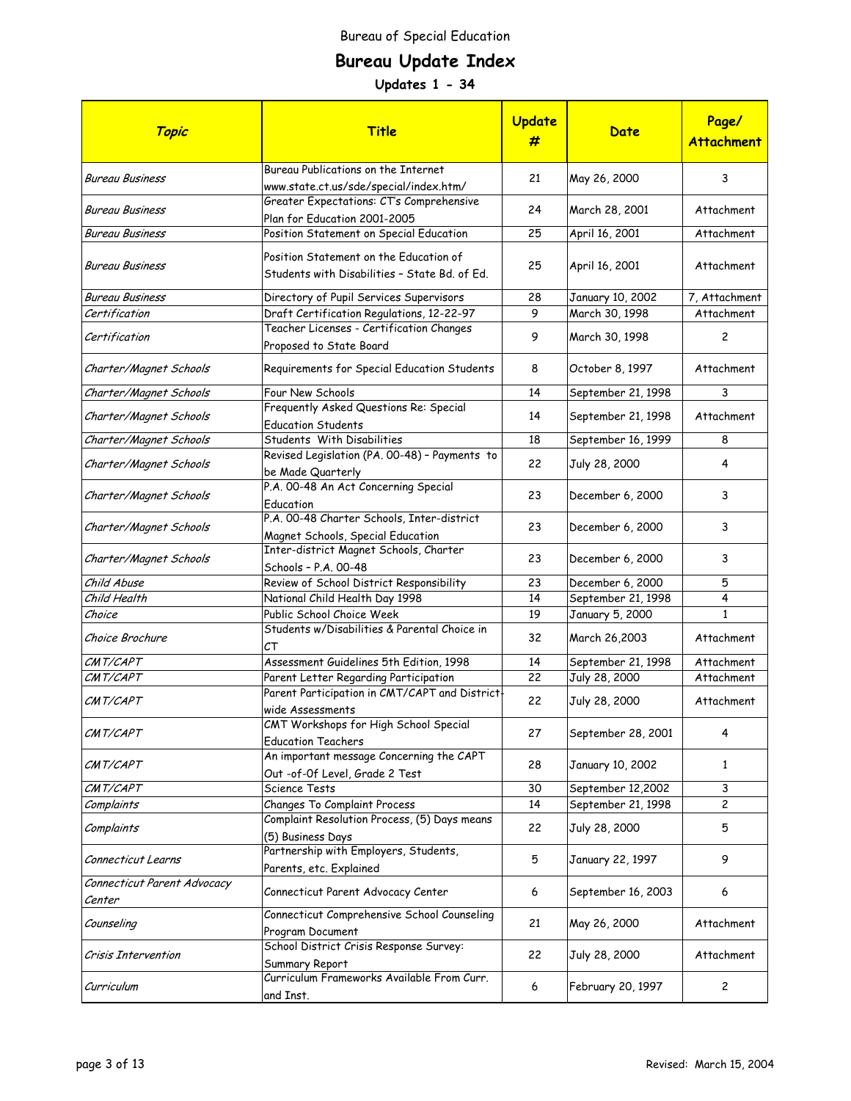# **Bureau Update Index**

| Topic                                 | <b>Title</b>                                                                            | Update<br># | Date                               | Page/<br><b>Attachment</b>  |
|---------------------------------------|-----------------------------------------------------------------------------------------|-------------|------------------------------------|-----------------------------|
| <b>Bureau Business</b>                | Bureau Publications on the Internet<br>www.state.ct.us/sde/special/index.htm/           | 21          | May 26, 2000                       | 3                           |
| <b>Bureau Business</b>                | Greater Expectations: CT's Comprehensive<br>Plan for Education 2001-2005                | 24          | March 28, 2001                     | Attachment                  |
| <b>Bureau Business</b>                | Position Statement on Special Education                                                 | 25          | April 16, 2001                     | Attachment                  |
| Bureau Business                       | Position Statement on the Education of<br>Students with Disabilities - State Bd. of Ed. | 25          | April 16, 2001                     | Attachment                  |
| Bureau Business<br>Certification      | Directory of Pupil Services Supervisors<br>Draft Certification Regulations, 12-22-97    | 28<br>9     | January 10, 2002<br>March 30, 1998 | 7, Attachment<br>Attachment |
| Certification                         | Teacher Licenses - Certification Changes<br>Proposed to State Board                     | 9           | March 30, 1998                     | 2                           |
| Charter/Magnet Schools                | Requirements for Special Education Students                                             | 8           | October 8, 1997                    | Attachment                  |
| Charter/Magnet Schools                | Four New Schools                                                                        | 14          | September 21, 1998                 | 3                           |
| Charter/Magnet Schools                | Frequently Asked Questions Re: Special<br><b>Education Students</b>                     | 14          | September 21, 1998                 | Attachment                  |
| Charter/Magnet Schools                | Students With Disabilities                                                              | 18          | September 16, 1999                 | 8                           |
| Charter/Magnet Schools                | Revised Legislation (PA. 00-48) - Payments to<br>be Made Quarterly                      | 22          | July 28, 2000                      | 4                           |
| Charter/Magnet Schools                | P.A. 00-48 An Act Concerning Special<br>Education                                       | 23          | December 6, 2000                   | 3                           |
| Charter/Magnet Schools                | P.A. 00-48 Charter Schools, Inter-district<br>Magnet Schools, Special Education         | 23          | December 6, 2000                   | 3                           |
| Charter/Magnet Schools                | Inter-district Magnet Schools, Charter<br>Schools - P.A. 00-48                          | 23          | December 6, 2000                   | 3                           |
| Child Abuse                           | Review of School District Responsibility                                                | 23          | December 6, 2000                   | 5                           |
| Child Health                          | National Child Health Day 1998                                                          | 14          | September 21, 1998                 | 4                           |
| Choice                                | Public School Choice Week                                                               | 19          | January 5, 2000                    | $\mathbf{1}$                |
| Choice Brochure                       | Students w/Disabilities & Parental Choice in<br>СT                                      | 32          | March 26,2003                      | Attachment                  |
| CMT/CAPT                              | Assessment Guidelines 5th Edition, 1998                                                 | 14          | September 21, 1998                 | Attachment                  |
| CMT/CAPT                              | Parent Letter Regarding Participation                                                   | 22          | July 28, 2000                      | Attachment                  |
| CMT/CAPT                              | Parent Participation in CMT/CAPT and District<br>wide Assessments                       | 22          | July 28, 2000                      | Attachment                  |
| CMT/CAPT                              | CMT Workshops for High School Special<br><b>Education Teachers</b>                      | 27          | September 28, 2001                 | 4                           |
| CMT/CAPT                              | An important message Concerning the CAPT<br>Out -of-Of Level, Grade 2 Test              | 28          | January 10, 2002                   | $\mathbf{1}$                |
| CMT/CAPT                              | Science Tests                                                                           | 30          | September 12,2002                  | 3                           |
| Complaints                            | Changes To Complaint Process                                                            | 14          | September 21, 1998                 | 2                           |
| Complaints                            | Complaint Resolution Process, (5) Days means<br>(5) Business Days                       | 22          | July 28, 2000                      | 5                           |
| Connecticut Learns                    | Partnership with Employers, Students,<br>Parents, etc. Explained                        | 5           | January 22, 1997                   | 9                           |
| Connecticut Parent Advocacy<br>Center | Connecticut Parent Advocacy Center                                                      | 6           | September 16, 2003                 | 6                           |
| Counseling                            | Connecticut Comprehensive School Counseling<br>Program Document                         | 21          | May 26, 2000                       | Attachment                  |
| Crisis Intervention                   | School District Crisis Response Survey:<br>Summary Report                               | 22          | July 28, 2000                      | Attachment                  |
| Curriculum                            | Curriculum Frameworks Available From Curr.<br>and Inst.                                 | 6           | February 20, 1997                  | 2                           |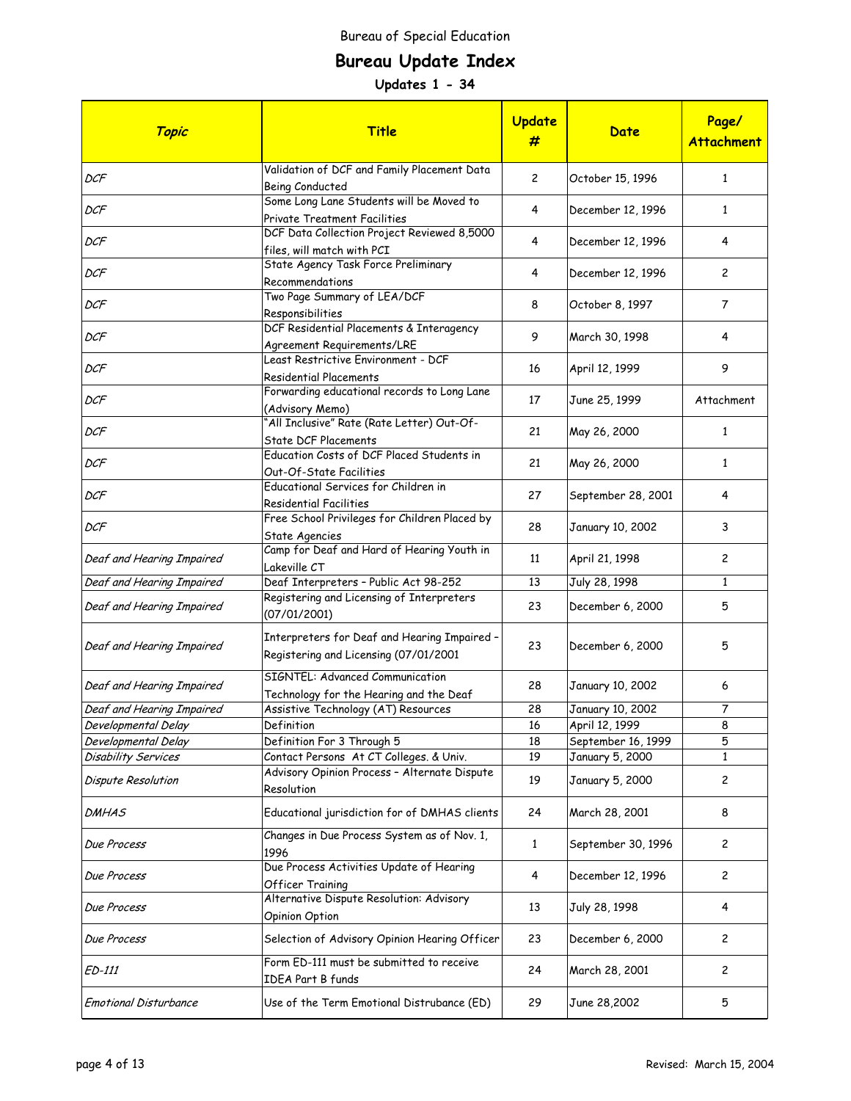# **Bureau Update Index**

| Topic                        | <b>Title</b>                                                                          | Update<br>#    | Date               | Page/<br><b>Attachment</b> |
|------------------------------|---------------------------------------------------------------------------------------|----------------|--------------------|----------------------------|
| DCF                          | Validation of DCF and Family Placement Data<br>Being Conducted                        | $\overline{c}$ | October 15, 1996   | $\mathbf{1}$               |
| DCF                          | Some Long Lane Students will be Moved to<br>Private Treatment Facilities              | 4              | December 12, 1996  | $\mathbf{1}$               |
| DCF                          | DCF Data Collection Project Reviewed 8,5000<br>files, will match with PCI             | 4              | December 12, 1996  | 4                          |
| DCF                          | State Agency Task Force Preliminary<br>Recommendations                                | 4              | December 12, 1996  | $\mathbf{2}$               |
| DCF                          | Two Page Summary of LEA/DCF<br>Responsibilities                                       | 8              | October 8, 1997    | $\overline{7}$             |
| DCF                          | DCF Residential Placements & Interagency<br>Agreement Requirements/LRE                | 9              | March 30, 1998     | 4                          |
| DCF                          | Least Restrictive Environment - DCF<br><b>Residential Placements</b>                  | 16             | April 12, 1999     | 9                          |
| DCF                          | Forwarding educational records to Long Lane<br>(Advisory Memo)                        | 17             | June 25, 1999      | Attachment                 |
| DCF                          | 'All Inclusive" Rate (Rate Letter) Out-Of-<br><b>State DCF Placements</b>             | 21             | May 26, 2000       | 1                          |
| DCF                          | Education Costs of DCF Placed Students in<br>Out-Of-State Facilities                  | 21             | May 26, 2000       | $\mathbf{1}$               |
| DCF                          | Educational Services for Children in<br><b>Residential Facilities</b>                 | 27             | September 28, 2001 | 4                          |
| DCF                          | Free School Privileges for Children Placed by<br>State Agencies                       | 28             | January 10, 2002   | 3                          |
| Deaf and Hearing Impaired    | Camp for Deaf and Hard of Hearing Youth in<br>Lakeville CT                            | 11             | April 21, 1998     | 2                          |
| Deaf and Hearing Impaired    | Deaf Interpreters - Public Act 98-252                                                 | 13             | July 28, 1998      | $\mathbf{1}$               |
| Deaf and Hearing Impaired    | Registering and Licensing of Interpreters<br>(07/01/2001)                             | 23             | December 6, 2000   | 5                          |
| Deaf and Hearing Impaired    | Interpreters for Deaf and Hearing Impaired -<br>Registering and Licensing (07/01/2001 | 23             | December 6, 2000   | 5                          |
| Deaf and Hearing Impaired    | SIGNTEL: Advanced Communication<br>Technology for the Hearing and the Deaf            | 28             | January 10, 2002   | 6                          |
| Deaf and Hearing Impaired    | Assistive Technology (AT) Resources                                                   | 28             | January 10, 2002   | 7                          |
| Developmental Delay          | Definition                                                                            | 16             | April 12, 1999     | 8                          |
| Developmental Delay          | Definition For 3 Through 5                                                            | 18             | September 16, 1999 | 5                          |
| Disability Services          | Contact Persons At CT Colleges. & Univ.                                               | 19             | January 5, 2000    | 1                          |
| Dispute Resolution           | Advisory Opinion Process - Alternate Dispute<br>Resolution                            | 19             | January 5, 2000    | 2                          |
| <b>DMHAS</b>                 | Educational jurisdiction for of DMHAS clients                                         | 24             | March 28, 2001     | 8                          |
| Due Process                  | Changes in Due Process System as of Nov. 1,<br>1996                                   | $\mathbf{1}$   | September 30, 1996 | 2                          |
| Due Process                  | Due Process Activities Update of Hearing<br><b>Officer Training</b>                   | 4              | December 12, 1996  | 2                          |
| Due Process                  | Alternative Dispute Resolution: Advisory<br>Opinion Option                            | 13             | July 28, 1998      | 4                          |
| Due Process                  | Selection of Advisory Opinion Hearing Officer                                         | 23             | December 6, 2000   | $\mathbf{2}$               |
| ED-111                       | Form ED-111 must be submitted to receive<br><b>IDEA Part B funds</b>                  | 24             | March 28, 2001     | 2                          |
| <b>Emotional Disturbance</b> | Use of the Term Emotional Distrubance (ED)                                            | 29             | June 28,2002       | 5                          |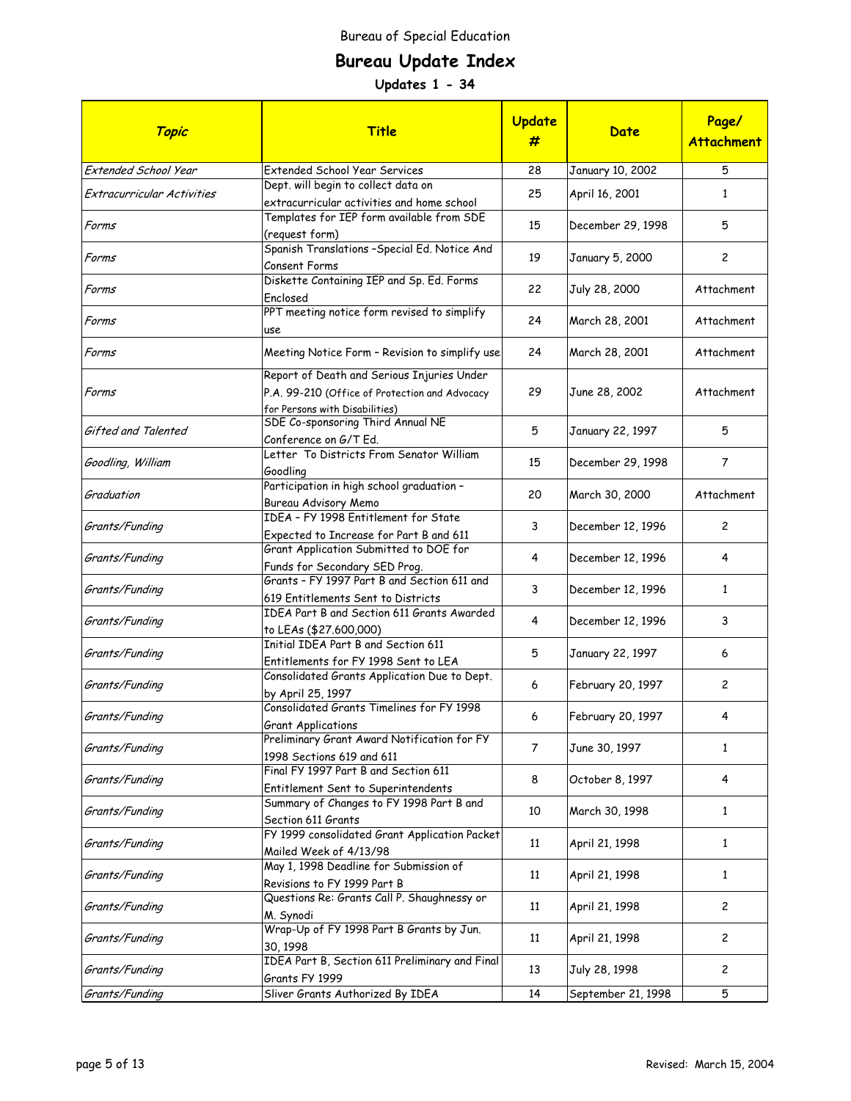# **Bureau Update Index**

| Topic                      | <b>Title</b>                                                                                                                   | Update<br>#    | Date               | Page/<br><b>Attachment</b> |
|----------------------------|--------------------------------------------------------------------------------------------------------------------------------|----------------|--------------------|----------------------------|
| Extended School Year       | <b>Extended School Year Services</b>                                                                                           | 28             | January 10, 2002   | 5                          |
| Extracurricular Activities | Dept. will begin to collect data on<br>extracurricular activities and home school                                              | 25             | April 16, 2001     | $\mathbf{1}$               |
| Forms                      | Templates for IEP form available from SDE<br>(request form)                                                                    | 15             | December 29, 1998  | 5                          |
| Forms                      | Spanish Translations - Special Ed. Notice And<br>Consent Forms                                                                 | 19             | January 5, 2000    | $\overline{c}$             |
| Forms                      | Diskette Containing IEP and Sp. Ed. Forms<br>Enclosed                                                                          | 22             | July 28, 2000      | Attachment                 |
| Forms                      | PPT meeting notice form revised to simplify<br>use                                                                             | 24             | March 28, 2001     | Attachment                 |
| Forms                      | Meeting Notice Form - Revision to simplify use                                                                                 | 24             | March 28, 2001     | Attachment                 |
| Forms                      | Report of Death and Serious Injuries Under<br>P.A. 99-210 (Office of Protection and Advocacy<br>for Persons with Disabilities) | 29             | June 28, 2002      | Attachment                 |
| Gifted and Talented        | SDE Co-sponsoring Third Annual NE<br>Conference on G/T Ed.                                                                     | 5              | January 22, 1997   | 5                          |
| Goodling, William          | Letter To Districts From Senator William<br>Goodling                                                                           | 15             | December 29, 1998  | $\overline{7}$             |
| Graduation                 | Participation in high school graduation -<br>Bureau Advisory Memo                                                              | 20             | March 30, 2000     | Attachment                 |
| Grants/Funding             | IDEA - FY 1998 Entitlement for State<br>Expected to Increase for Part B and 611                                                | 3              | December 12, 1996  | $\overline{c}$             |
| Grants/Funding             | Grant Application Submitted to DOE for<br>Funds for Secondary SED Prog.                                                        | 4              | December 12, 1996  | 4                          |
| Grants/Funding             | Grants - FY 1997 Part B and Section 611 and<br>619 Entitlements Sent to Districts                                              | 3              | December 12, 1996  | 1                          |
| Grants/Funding             | IDEA Part B and Section 611 Grants Awarded<br>to LEAs (\$27.600,000)                                                           | 4              | December 12, 1996  | 3                          |
| Grants/Funding             | Initial IDEA Part B and Section 611<br>Entitlements for FY 1998 Sent to LEA                                                    | 5              | January 22, 1997   | 6                          |
| Grants/Funding             | Consolidated Grants Application Due to Dept.<br>by April 25, 1997                                                              | 6              | February 20, 1997  | 2                          |
| Grants/Funding             | Consolidated Grants Timelines for FY 1998<br>Grant Applications                                                                | 6              | February 20, 1997  | 4                          |
| Grants/Funding             | Preliminary Grant Award Notification for FY<br>1998 Sections 619 and 611                                                       | $\overline{7}$ | June 30, 1997      | $\mathbf{1}$               |
| Grants/Funding             | Final FY 1997 Part B and Section 611<br>Entitlement Sent to Superintendents                                                    | 8              | October 8, 1997    | 4                          |
| Grants/Funding             | Summary of Changes to FY 1998 Part B and<br>Section 611 Grants                                                                 | 10             | March 30, 1998     | $\mathbf{1}$               |
| Grants/Funding             | FY 1999 consolidated Grant Application Packet<br>Mailed Week of 4/13/98                                                        | 11             | April 21, 1998     | $\mathbf{1}$               |
| Grants/Funding             | May 1, 1998 Deadline for Submission of<br>Revisions to FY 1999 Part B                                                          | 11             | April 21, 1998     | 1                          |
| Grants/Funding             | Questions Re: Grants Call P. Shaughnessy or<br>M. Synodi                                                                       | 11             | April 21, 1998     | $\overline{c}$             |
| Grants/Funding             | Wrap-Up of FY 1998 Part B Grants by Jun.<br>30, 1998                                                                           | 11             | April 21, 1998     | $\overline{c}$             |
| Grants/Funding             | IDEA Part B, Section 611 Preliminary and Final<br>Grants FY 1999                                                               | 13             | July 28, 1998      | $\overline{c}$             |
| Grants/Funding             | Sliver Grants Authorized By IDEA                                                                                               | 14             | September 21, 1998 | 5                          |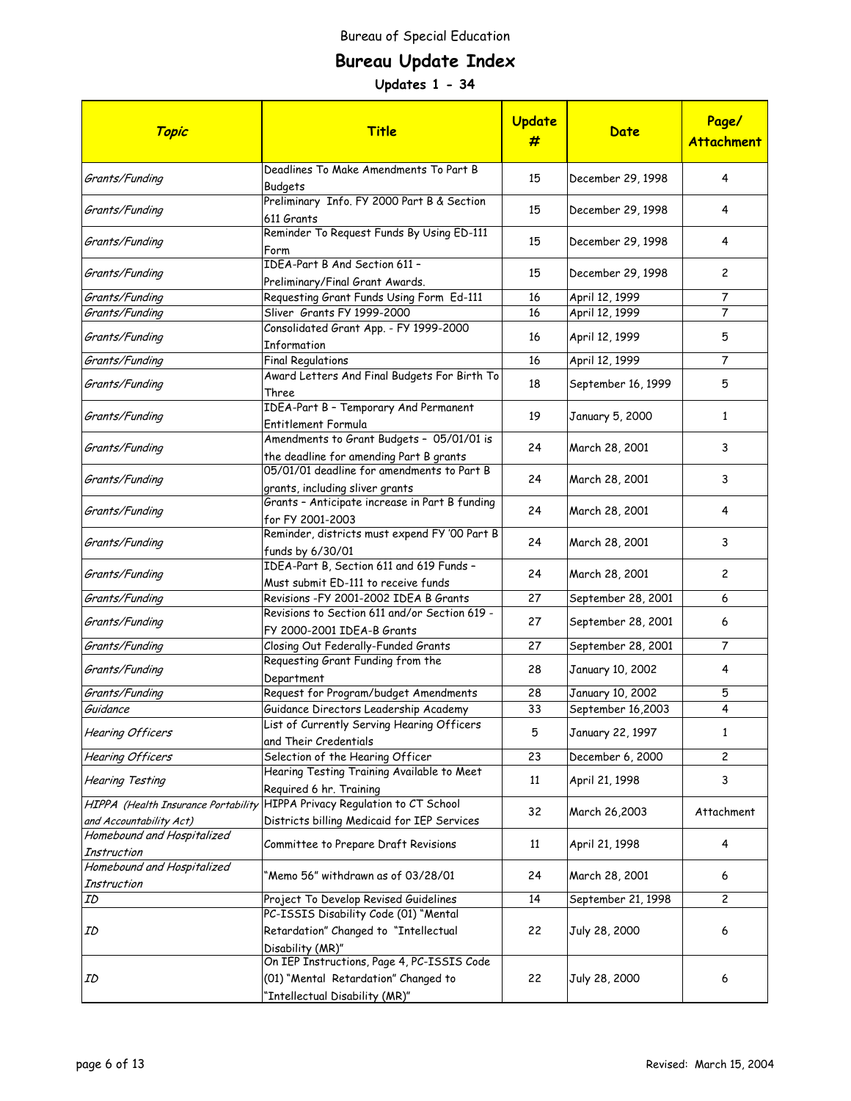# **Bureau Update Index**

| Topic                                            | Title                                                                                | <b>Update</b><br># | Date               | Page/<br><b>Attachment</b> |
|--------------------------------------------------|--------------------------------------------------------------------------------------|--------------------|--------------------|----------------------------|
| Grants/Funding                                   | Deadlines To Make Amendments To Part B<br>Budgets                                    | 15                 | December 29, 1998  | 4                          |
| Grants/Funding                                   | Preliminary Info. FY 2000 Part B & Section<br>611 Grants                             | 15                 | December 29, 1998  | 4                          |
| Grants/Funding                                   | Reminder To Request Funds By Using ED-111<br>Form                                    | 15                 | December 29, 1998  | 4                          |
| Grants/Funding                                   | IDEA-Part B And Section 611 -<br>Preliminary/Final Grant Awards.                     | 15                 | December 29, 1998  | $\mathbf{2}$               |
| Grants/Funding                                   | Requesting Grant Funds Using Form Ed-111                                             | 16                 | April 12, 1999     | 7                          |
| Grants/Funding                                   | Sliver Grants FY 1999-2000                                                           | 16                 | April 12, 1999     | 7                          |
| Grants/Funding                                   | Consolidated Grant App. - FY 1999-2000<br>Information                                | 16                 | April 12, 1999     | 5                          |
| Grants/Funding                                   | <b>Final Regulations</b>                                                             | 16                 | April 12, 1999     | $\overline{7}$             |
| Grants/Funding                                   | Award Letters And Final Budgets For Birth To<br>Three                                | 18                 | September 16, 1999 | 5                          |
| Grants/Funding                                   | IDEA-Part B - Temporary And Permanent<br>Entitlement Formula                         | 19                 | January 5, 2000    | $\mathbf{1}$               |
| Grants/Funding                                   | Amendments to Grant Budgets - 05/01/01 is<br>the deadline for amending Part B grants | 24                 | March 28, 2001     | 3                          |
| Grants/Funding                                   | 05/01/01 deadline for amendments to Part B<br>grants, including sliver grants        | 24                 | March 28, 2001     | 3                          |
| Grants/Funding                                   | Grants - Anticipate increase in Part B funding<br>for FY 2001-2003                   | 24                 | March 28, 2001     | 4                          |
| Grants/Funding                                   | Reminder, districts must expend FY '00 Part B<br>funds by 6/30/01                    | 24                 | March 28, 2001     | 3                          |
| Grants/Funding                                   | IDEA-Part B, Section 611 and 619 Funds -<br>Must submit ED-111 to receive funds      | 24                 | March 28, 2001     | 2                          |
| Grants/Funding                                   | Revisions -FY 2001-2002 IDEA B Grants                                                | 27                 | September 28, 2001 | 6                          |
| Grants/Funding                                   | Revisions to Section 611 and/or Section 619 -<br>FY 2000-2001 IDEA-B Grants          | 27                 | September 28, 2001 | 6                          |
| Grants/Funding                                   | Closing Out Federally-Funded Grants                                                  | 27                 | September 28, 2001 | $\overline{7}$             |
| Grants/Funding                                   | Requesting Grant Funding from the<br>Department                                      | 28                 | January 10, 2002   | 4                          |
| Grants/Funding                                   | Request for Program/budget Amendments                                                | 28                 | January 10, 2002   | 5                          |
| Guidance                                         | Guidance Directors Leadership Academy                                                | 33                 | September 16,2003  | 4                          |
| Hearing Officers                                 | List of Currently Serving Hearing Officers<br>and Their Credentials                  | 5                  | January 22, 1997   | 1                          |
| <b>Hearing Officers</b>                          | Selection of the Hearing Officer                                                     | 23                 | December 6, 2000   | $\overline{c}$             |
| <b>Hearing Testing</b>                           | Hearing Testing Training Available to Meet<br>Required 6 hr. Training                | 11                 | April 21, 1998     | 3                          |
| HIPPA (Health Insurance Portability              | HIPPA Privacy Regulation to CT School                                                | 32                 | March 26,2003      | Attachment                 |
| and Accountability Act)                          | Districts billing Medicaid for IEP Services                                          |                    |                    |                            |
| Homebound and Hospitalized<br><b>Instruction</b> | Committee to Prepare Draft Revisions                                                 | 11                 | April 21, 1998     | 4                          |
| Homebound and Hospitalized<br>Instruction        | 'Memo 56" withdrawn as of 03/28/01                                                   | 24                 | March 28, 2001     | 6                          |
| ID                                               | Project To Develop Revised Guidelines<br>PC-ISSIS Disability Code (01) "Mental       | 14                 | September 21, 1998 | 2                          |
| ID                                               | Retardation" Changed to "Intellectual<br>Disability (MR)"                            | 22                 | July 28, 2000      | 6                          |
| ID                                               | On IEP Instructions, Page 4, PC-ISSIS Code<br>(01) "Mental Retardation" Changed to   | 22                 | July 28, 2000      | 6                          |
|                                                  | 'Intellectual Disability (MR)"                                                       |                    |                    |                            |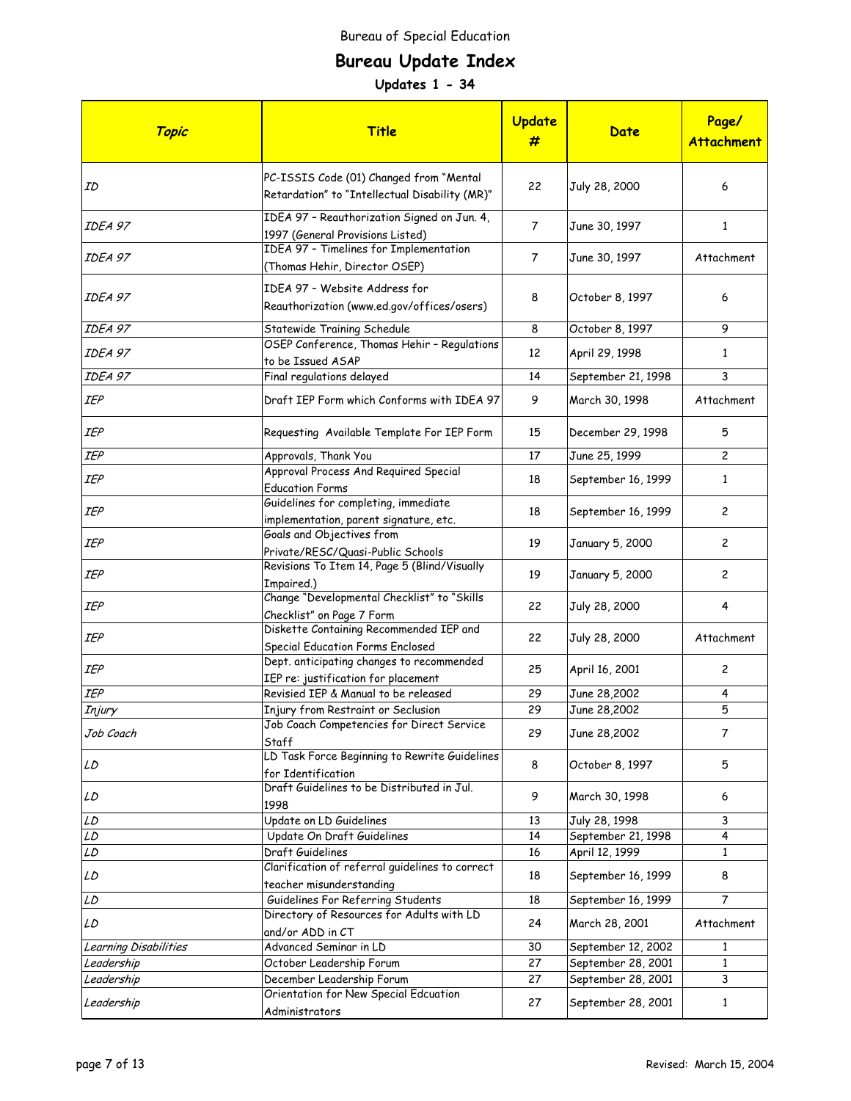# **Bureau Update Index**

| Topic                 | <b>Title</b>                                                                              | <b>Update</b><br># | Date               | Page/<br><b>Attachment</b> |
|-----------------------|-------------------------------------------------------------------------------------------|--------------------|--------------------|----------------------------|
| ID                    | PC-ISSIS Code (01) Changed from "Mental<br>Retardation" to "Intellectual Disability (MR)" | 22                 | July 28, 2000      | 6                          |
| IDEA 97               | IDEA 97 - Reauthorization Signed on Jun. 4,<br>1997 (General Provisions Listed)           | $\overline{7}$     | June 30, 1997      | 1                          |
| IDEA 97               | IDEA 97 - Timelines for Implementation<br>(Thomas Hehir, Director OSEP)                   | $\overline{7}$     | June 30, 1997      | Attachment                 |
| IDEA 97               | IDEA 97 - Website Address for<br>Reauthorization (www.ed.gov/offices/osers)               | 8                  | October 8, 1997    | 6                          |
| IDEA 97               | Statewide Training Schedule                                                               | 8                  | October 8, 1997    | 9                          |
| IDEA 97               | OSEP Conference, Thomas Hehir - Regulations<br>to be Issued ASAP                          | 12                 | April 29, 1998     | $\mathbf{1}$               |
| IDEA 97               | Final regulations delayed                                                                 | 14                 | September 21, 1998 | 3                          |
| IEP                   | Draft IEP Form which Conforms with IDEA 97                                                | 9                  | March 30, 1998     | Attachment                 |
| IEP                   | Requesting Available Template For IEP Form                                                | 15                 | December 29, 1998  | 5                          |
| IEP                   | Approvals, Thank You                                                                      | 17                 | June 25, 1999      | $\overline{c}$             |
| IEP                   | Approval Process And Required Special<br><b>Education Forms</b>                           | 18                 | September 16, 1999 | $\mathbf{1}$               |
| IEP                   | Guidelines for completing, immediate<br>implementation, parent signature, etc.            | 18                 | September 16, 1999 | 2                          |
| IEP                   | Goals and Objectives from<br>Private/RESC/Quasi-Public Schools                            | 19                 | January 5, 2000    | $\mathbf{2}$               |
| IEP                   | Revisions To Item 14, Page 5 (Blind/Visually<br>Impaired.)                                | 19                 | January 5, 2000    | 2                          |
| IEP                   | Change "Developmental Checklist" to "Skills<br>Checklist" on Page 7 Form                  | 22                 | July 28, 2000      | 4                          |
| IEP                   | Diskette Containing Recommended IEP and<br>Special Education Forms Enclosed               | 22                 | July 28, 2000      | Attachment                 |
| IEP                   | Dept. anticipating changes to recommended<br>IEP re: justification for placement          | 25                 | April 16, 2001     | 2                          |
| IEP                   | Revisied IEP & Manual to be released                                                      | 29                 | June 28,2002       | 4                          |
| Injury                | Injury from Restraint or Seclusion                                                        | 29                 | June 28,2002       | 5                          |
| Job Coach             | Job Coach Competencies for Direct Service<br>Staff                                        | 29                 | June 28,2002       | 7                          |
| LD                    | LD Task Force Beginning to Rewrite Guidelines<br>for Identification                       | 8                  | October 8, 1997    | 5                          |
| LD                    | Draft Guidelines to be Distributed in Jul.<br>1998                                        | 9                  | March 30, 1998     | 6                          |
| LD                    | Update on LD Guidelines                                                                   | 13                 | July 28, 1998      | 3                          |
| LD                    | Update On Draft Guidelines                                                                | 14                 | September 21, 1998 | 4                          |
| LD                    | Draft Guidelines                                                                          | 16                 | April 12, 1999     | $\mathbf{1}$               |
| LD                    | Clarification of referral quidelines to correct<br>teacher misunderstanding               | 18                 | September 16, 1999 | 8                          |
| LD                    | Guidelines For Referring Students                                                         | 18                 | September 16, 1999 | 7                          |
| LD                    | Directory of Resources for Adults with LD<br>and/or ADD in CT                             | 24                 | March 28, 2001     | Attachment                 |
| Learning Disabilities | Advanced Seminar in LD                                                                    | 30                 | September 12, 2002 | 1                          |
| Leadership            | October Leadership Forum                                                                  | 27                 | September 28, 2001 | $\mathbf{1}$               |
| Leadership            | December Leadership Forum                                                                 | 27                 | September 28, 2001 | 3                          |
| Leadership            | Orientation for New Special Edcuation<br>Administrators                                   | 27                 | September 28, 2001 | $\mathbf{1}$               |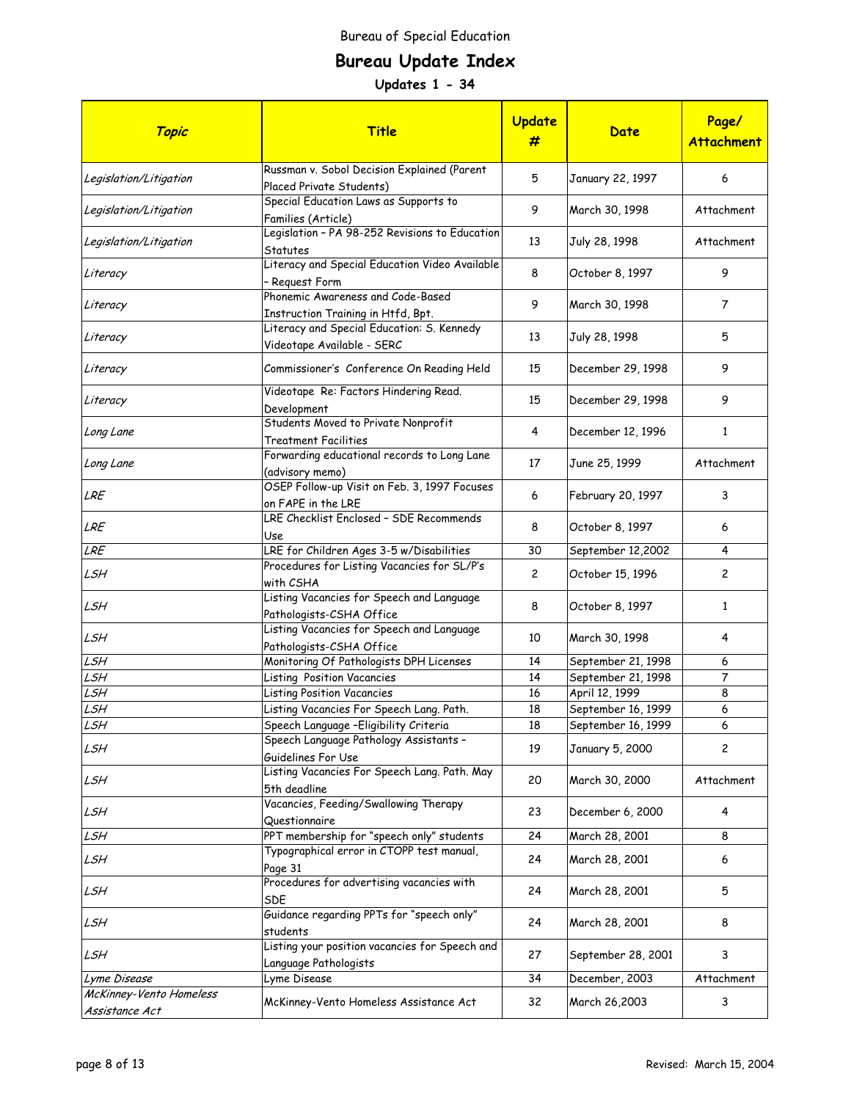# **Bureau Update Index**

| Topic                                     | <b>Title</b>                                                             | Update<br>#    | Date               | Page/<br><b>Attachment</b> |
|-------------------------------------------|--------------------------------------------------------------------------|----------------|--------------------|----------------------------|
| Legislation/Litigation                    | Russman v. Sobol Decision Explained (Parent<br>Placed Private Students)  | 5              | January 22, 1997   | 6                          |
| Legislation/Litigation                    | Special Education Laws as Supports to<br>Families (Article)              | 9              | March 30, 1998     | Attachment                 |
| Legislation/Litigation                    | Legislation - PA 98-252 Revisions to Education<br>Statutes               | 13             | July 28, 1998      | Attachment                 |
| Literacy                                  | Literacy and Special Education Video Available<br>- Reguest Form         | 8              | October 8, 1997    | 9                          |
| Literacy                                  | Phonemic Awareness and Code-Based<br>Instruction Training in Htfd, Bpt.  | 9              | March 30, 1998     | $\overline{7}$             |
| Literacy                                  | Literacy and Special Education: S. Kennedy<br>Videotape Available - SERC | 13             | July 28, 1998      | 5                          |
| Literacy                                  | Commissioner's Conference On Reading Held                                | 15             | December 29, 1998  | 9                          |
| Literacy                                  | Videotape Re: Factors Hindering Read.<br>Development                     | 15             | December 29, 1998  | 9                          |
| Long Lane                                 | Students Moved to Private Nonprofit<br><b>Treatment Facilities</b>       | 4              | December 12, 1996  | $\mathbf{1}$               |
| Long Lane                                 | Forwarding educational records to Long Lane<br>(advisory memo)           | 17             | June 25, 1999      | Attachment                 |
| LRE                                       | OSEP Follow-up Visit on Feb. 3, 1997 Focuses<br>on FAPE in the LRE       | 6              | February 20, 1997  | 3                          |
| LRE                                       | LRE Checklist Enclosed - SDE Recommends<br>Use                           | 8              | October 8, 1997    | 6                          |
| LRE                                       | LRE for Children Ages 3-5 w/Disabilities                                 | 30             | September 12,2002  | 4                          |
| LSH                                       | Procedures for Listing Vacancies for SL/P's<br>with CSHA                 | $\overline{c}$ | October 15, 1996   | 2                          |
| LSH                                       | Listing Vacancies for Speech and Language<br>Pathologists-CSHA Office    | 8              | October 8, 1997    | $\mathbf{1}$               |
| LSH                                       | Listing Vacancies for Speech and Language<br>Pathologists-CSHA Office    | 10             | March 30, 1998     | 4                          |
| LSH                                       | Monitoring Of Pathologists DPH Licenses                                  | 14             | September 21, 1998 | 6                          |
| LSH                                       | Listing Position Vacancies                                               | 14             | September 21, 1998 | 7                          |
| LSH                                       | <b>Listing Position Vacancies</b>                                        | 16             | April 12, 1999     | 8                          |
| LSH                                       | Listing Vacancies For Speech Lang. Path.                                 | 18             | September 16, 1999 | 6                          |
| LSH                                       | Speech Language - Eligibility Criteria                                   | 18             | September 16, 1999 | 6                          |
| LSH                                       | Speech Language Pathology Assistants -<br>Guidelines For Use             | 19             | January 5, 2000    | 2                          |
| LSH                                       | Listing Vacancies For Speech Lang. Path. May<br>5th deadline             | 20             | March 30, 2000     | Attachment                 |
| LSH                                       | Vacancies, Feeding/Swallowing Therapy<br>Questionnaire                   | 23             | December 6, 2000   | 4                          |
| LSH                                       | PPT membership for "speech only" students                                | 24             | March 28, 2001     | 8                          |
| LSH                                       | Typographical error in CTOPP test manual,<br>Page 31                     | 24             | March 28, 2001     | 6                          |
| LSH                                       | Procedures for advertising vacancies with<br><b>SDE</b>                  | 24             | March 28, 2001     | 5                          |
| LSH                                       | Guidance regarding PPTs for "speech only"<br>students                    | 24             | March 28, 2001     | 8                          |
| LSH                                       | Listing your position vacancies for Speech and<br>Language Pathologists  | 27             | September 28, 2001 | 3                          |
| Lyme Disease                              | Lyme Disease                                                             | 34             | December, 2003     | Attachment                 |
| McKinney-Vento Homeless<br>Assistance Act | McKinney-Vento Homeless Assistance Act                                   | 32             | March 26,2003      | 3                          |
|                                           |                                                                          |                |                    |                            |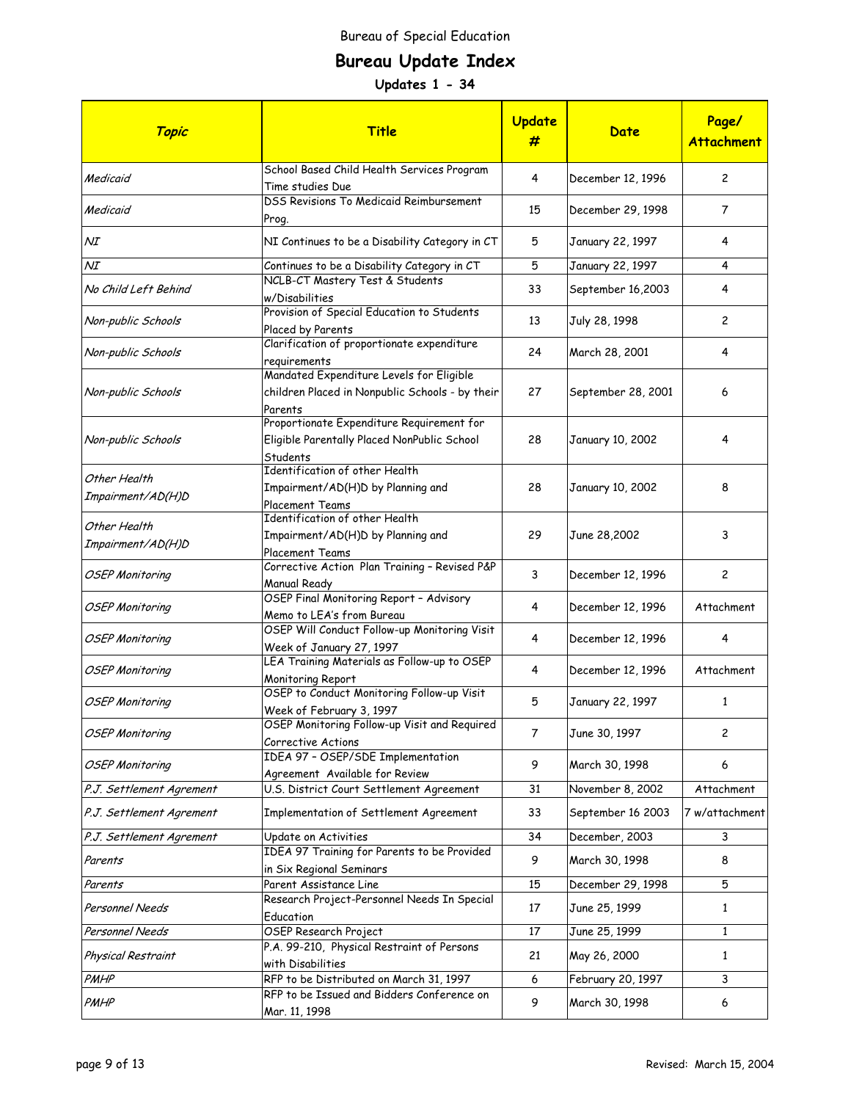# **Bureau Update Index**

| Topic                             | <b>Title</b>                                                                                           | Update<br>#    | Date               | Page/<br><b>Attachment</b> |
|-----------------------------------|--------------------------------------------------------------------------------------------------------|----------------|--------------------|----------------------------|
| Medicaid                          | School Based Child Health Services Program<br>Time studies Due                                         | 4              | December 12, 1996  | $\overline{c}$             |
| Medicaid                          | <b>DSS Revisions To Medicaid Reimbursement</b><br>Prog.                                                | 15             | December 29, 1998  | $\overline{7}$             |
| ΝI                                | NI Continues to be a Disability Category in CT                                                         | 5              | January 22, 1997   | 4                          |
| ΝI                                | Continues to be a Disability Category in CT                                                            | 5              | January 22, 1997   | 4                          |
| No Child Left Behind              | NCLB-CT Mastery Test & Students<br>w/Disabilities                                                      | 33             | September 16,2003  | 4                          |
| Non-public Schools                | Provision of Special Education to Students<br>Placed by Parents                                        | 13             | July 28, 1998      | $\mathbf{2}$               |
| Non-public Schools                | Clarification of proportionate expenditure<br>requirements                                             | 24             | March 28, 2001     | 4                          |
| Non-public Schools                | Mandated Expenditure Levels for Eligible<br>children Placed in Nonpublic Schools - by their<br>Parents | 27             | September 28, 2001 | 6                          |
| Non-public Schools                | Proportionate Expenditure Requirement for<br>Eligible Parentally Placed NonPublic School<br>Students   | 28             | January 10, 2002   | 4                          |
| Other Health<br>Impairment/AD(H)D | Identification of other Health<br>Impairment/AD(H)D by Planning and<br>Placement Teams                 | 28             | January 10, 2002   | 8                          |
| Other Health<br>Impairment/AD(H)D | Identification of other Health<br>Impairment/AD(H)D by Planning and<br>Placement Teams                 | 29             | June 28,2002       | 3                          |
| <b>OSEP Monitoring</b>            | Corrective Action Plan Training - Revised P&P<br>Manual Ready                                          | 3              | December 12, 1996  | 2                          |
| <b>OSEP Monitoring</b>            | OSEP Final Monitoring Report - Advisory<br>Memo to LEA's from Bureau                                   | 4              | December 12, 1996  | Attachment                 |
| OSEP Monitoring                   | OSEP Will Conduct Follow-up Monitoring Visit<br>Week of January 27, 1997                               | 4              | December 12, 1996  | 4                          |
| OSEP Monitoring                   | LEA Training Materials as Follow-up to OSEP<br>Monitoring Report                                       | 4              | December 12, 1996  | Attachment                 |
| <b>OSEP Monitoring</b>            | OSEP to Conduct Monitoring Follow-up Visit<br>Week of February 3, 1997                                 | 5              | January 22, 1997   | $\mathbf{1}$               |
| <b>OSEP Monitoring</b>            | OSEP Monitoring Follow-up Visit and Required<br>Corrective Actions                                     | $\overline{7}$ | June 30, 1997      | 2                          |
| <b>OSEP Monitoring</b>            | IDEA 97 - OSEP/SDE Implementation<br>Agreement Available for Review                                    | 9              | March 30, 1998     | 6                          |
| P.J. Settlement Agrement          | U.S. District Court Settlement Agreement                                                               | 31             | November 8, 2002   | Attachment                 |
| P.J. Settlement Agrement          | Implementation of Settlement Agreement                                                                 | 33             | September 16 2003  | 7 w/attachment             |
| P.J. Settlement Agrement          | Update on Activities                                                                                   | 34             | December, 2003     | 3                          |
| Parents                           | IDEA 97 Training for Parents to be Provided<br>in Six Regional Seminars                                | 9              | March 30, 1998     | 8                          |
| Parents                           | Parent Assistance Line                                                                                 | 15             | December 29, 1998  | 5                          |
| Personnel Needs                   | Research Project-Personnel Needs In Special<br>Education                                               | 17             | June 25, 1999      | $\mathbf{1}$               |
| Personnel Needs                   | OSEP Research Project                                                                                  | 17             | June 25, 1999      | $\mathbf{1}$               |
| Physical Restraint                | P.A. 99-210, Physical Restraint of Persons<br>with Disabilities                                        | 21             | May 26, 2000       | $\mathbf{1}$               |
| PMHP                              | RFP to be Distributed on March 31, 1997                                                                | 6              | February 20, 1997  | 3                          |
| PMHP                              | RFP to be Issued and Bidders Conference on<br>Mar. 11, 1998                                            | 9              | March 30, 1998     | 6                          |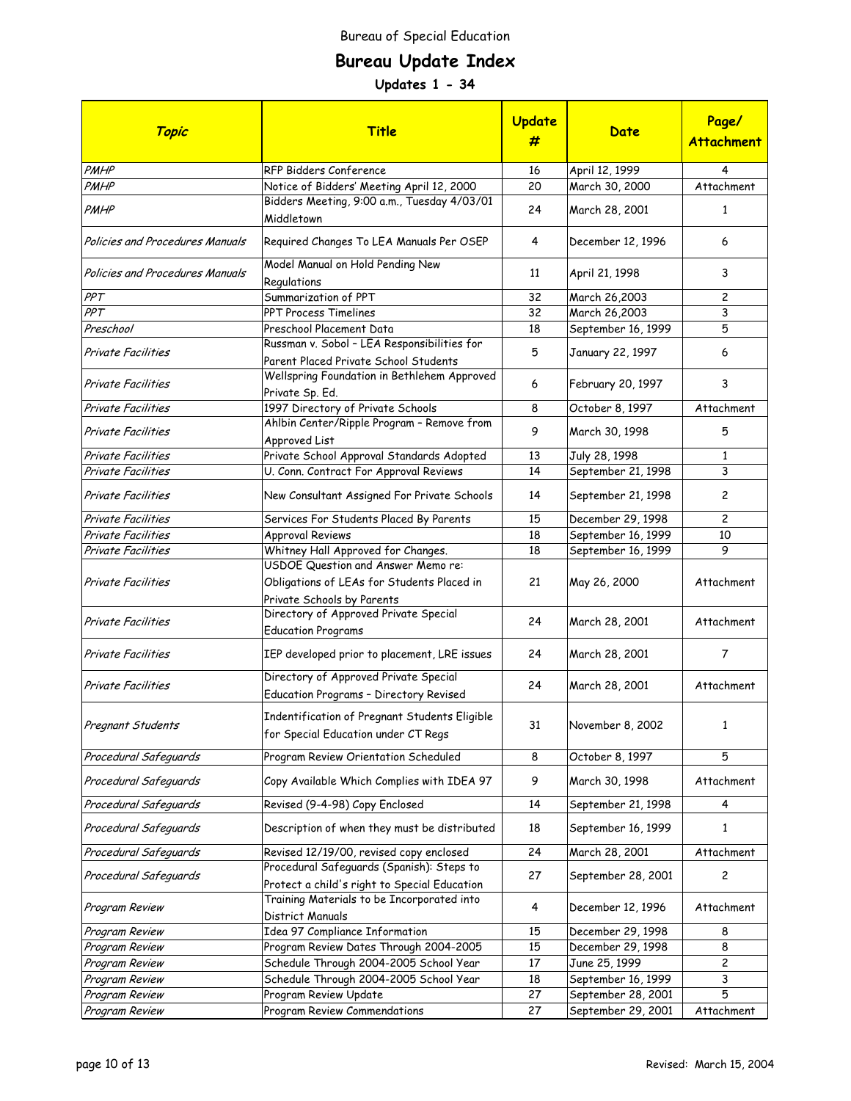# **Bureau Update Index**

| Topic                           | <b>Title</b>                                                                                                   | Update<br># | Date               | Page/<br><b>Attachment</b> |
|---------------------------------|----------------------------------------------------------------------------------------------------------------|-------------|--------------------|----------------------------|
| PMHP                            | RFP Bidders Conference                                                                                         | 16          | April 12, 1999     | 4                          |
| PMHP                            | Notice of Bidders' Meeting April 12, 2000                                                                      | 20          | March 30, 2000     | Attachment                 |
| PMHP                            | Bidders Meeting, 9:00 a.m., Tuesday 4/03/01<br>Middletown                                                      | 24          | March 28, 2001     | 1                          |
| Policies and Procedures Manuals | Required Changes To LEA Manuals Per OSEP                                                                       | 4           | December 12, 1996  | 6                          |
| Policies and Procedures Manuals | Model Manual on Hold Pending New<br>Regulations                                                                | 11          | April 21, 1998     | 3                          |
| PPT                             | Summarization of PPT                                                                                           | 32          | March 26,2003      | $\overline{c}$             |
| PPT                             | PPT Process Timelines                                                                                          | 32          | March 26,2003      | 3                          |
| Preschool                       | Preschool Placement Data                                                                                       | 18          | September 16, 1999 | 5                          |
| Private Facilities              | Russman v. Sobol - LEA Responsibilities for<br>Parent Placed Private School Students                           | 5           | January 22, 1997   | 6                          |
| <b>Private Facilities</b>       | Wellspring Foundation in Bethlehem Approved<br>Private Sp. Ed.                                                 | 6           | February 20, 1997  | 3                          |
| Private Facilities              | 1997 Directory of Private Schools                                                                              | 8           | October 8, 1997    | Attachment                 |
| Private Facilities              | Ahlbin Center/Ripple Program - Remove from<br>Approved List                                                    | 9           | March 30, 1998     | 5                          |
| <b>Private Facilities</b>       | Private School Approval Standards Adopted                                                                      | 13          | July 28, 1998      | $\mathbf{1}$               |
| <b>Private Facilities</b>       | U. Conn. Contract For Approval Reviews                                                                         | 14          | September 21, 1998 | 3                          |
| Private Facilities              | New Consultant Assigned For Private Schools                                                                    | 14          | September 21, 1998 | $\overline{c}$             |
| Private Facilities              | Services For Students Placed By Parents                                                                        | 15          | December 29, 1998  | $\overline{c}$             |
| Private Facilities              | <b>Approval Reviews</b>                                                                                        | 18          | September 16, 1999 | 10                         |
| Private Facilities              | Whitney Hall Approved for Changes.                                                                             | 18          | September 16, 1999 | 9                          |
| Private Facilities              | USDOE Question and Answer Memo re:<br>Obligations of LEAs for Students Placed in<br>Private Schools by Parents | 21          | May 26, 2000       | Attachment                 |
| <b>Private Facilities</b>       | Directory of Approved Private Special<br><b>Education Programs</b>                                             | 24          | March 28, 2001     | Attachment                 |
| <b>Private Facilities</b>       | IEP developed prior to placement, LRE issues                                                                   | 24          | March 28, 2001     | 7                          |
| <b>Private Facilities</b>       | Directory of Approved Private Special<br>Education Programs - Directory Revised                                | 24          | March 28, 2001     | Attachment                 |
| Pregnant Students               | Indentification of Pregnant Students Eligible<br>for Special Education under CT Regs                           | 31          | November 8, 2002   | 1                          |
| Procedural Safeguards           | Program Review Orientation Scheduled                                                                           | 8           | October 8, 1997    | 5                          |
| Procedural Safeguards           | Copy Available Which Complies with IDEA 97                                                                     | 9           | March 30, 1998     | Attachment                 |
| Procedural Safeguards           | Revised (9-4-98) Copy Enclosed                                                                                 | 14          | September 21, 1998 | 4                          |
| Procedural Safeguards           | Description of when they must be distributed                                                                   | 18          | September 16, 1999 | 1                          |
| Procedural Safeguards           | Revised 12/19/00, revised copy enclosed                                                                        | 24          | March 28, 2001     | Attachment                 |
| Procedural Safeguards           | Procedural Safeguards (Spanish): Steps to<br>Protect a child's right to Special Education                      | 27          | September 28, 2001 | $\overline{c}$             |
| Program Review                  | Training Materials to be Incorporated into<br>District Manuals                                                 | 4           | December 12, 1996  | Attachment                 |
| Program Review                  | Idea 97 Compliance Information                                                                                 | 15          | December 29, 1998  | 8                          |
| Program Review                  | Program Review Dates Through 2004-2005                                                                         | 15          | December 29, 1998  | 8                          |
| Program Review                  | Schedule Through 2004-2005 School Year                                                                         | 17          | June 25, 1999      | 2                          |
| Program Review                  | Schedule Through 2004-2005 School Year                                                                         | 18          | September 16, 1999 | 3                          |
| Program Review                  | Program Review Update                                                                                          | 27          | September 28, 2001 | 5                          |
| Program Review                  | Program Review Commendations                                                                                   | 27          | September 29, 2001 | Attachment                 |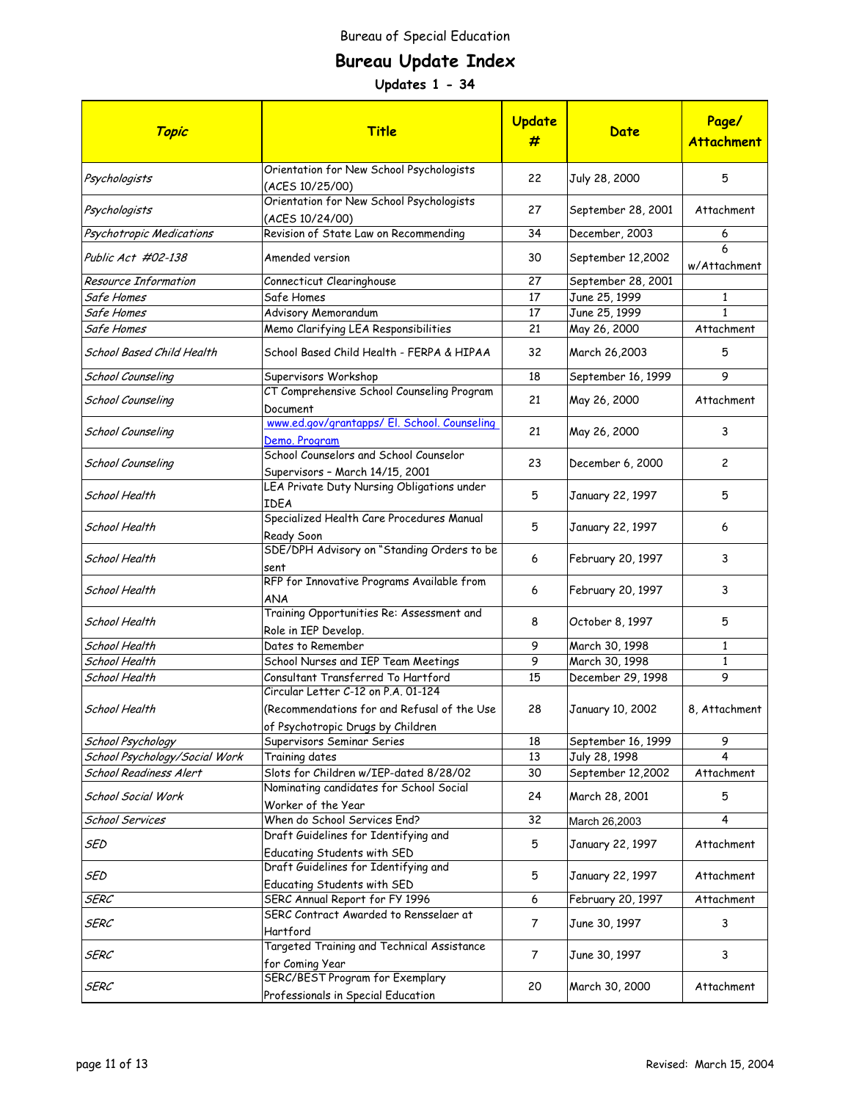# **Bureau Update Index**

| Topic                         | Title                                                                            | Update<br>#    | Date               | Page/<br><b>Attachment</b> |
|-------------------------------|----------------------------------------------------------------------------------|----------------|--------------------|----------------------------|
| Psychologists                 | Orientation for New School Psychologists<br>(ACES 10/25/00)                      | 22             | July 28, 2000      | 5                          |
| Psychologists                 | Orientation for New School Psychologists<br>(ACES 10/24/00)                      | 27             | September 28, 2001 | Attachment                 |
| Psychotropic Medications      | Revision of State Law on Recommending                                            | 34             | December, 2003     | 6                          |
| Public Act #02-138            | Amended version                                                                  | 30             | September 12,2002  | 6<br>w/Attachment          |
| <b>Resource Information</b>   | Connecticut Clearinghouse                                                        | 27             | September 28, 2001 |                            |
| Safe Homes                    | Safe Homes                                                                       | 17             | June 25, 1999      | $\mathbf{1}$               |
| Safe Homes                    | Advisory Memorandum                                                              | 17             | June 25, 1999      | $\mathbf{1}$               |
| Safe Homes                    | Memo Clarifying LEA Responsibilities                                             | 21             | May 26, 2000       | Attachment                 |
| School Based Child Health     | School Based Child Health - FERPA & HIPAA                                        | 32             | March 26,2003      | 5                          |
| School Counseling             | Supervisors Workshop                                                             | 18             | September 16, 1999 | 9                          |
| School Counseling             | CT Comprehensive School Counseling Program<br>Document                           | 21             | May 26, 2000       | Attachment                 |
| School Counseling             | www.ed.gov/grantapps/ El. School. Counseling<br>Demo. Program                    | 21             | May 26, 2000       | 3                          |
| School Counseling             | School Counselors and School Counselor<br>Supervisors - March 14/15, 2001        | 23             | December 6, 2000   | $\overline{c}$             |
| School Health                 | LEA Private Duty Nursing Obligations under<br>IDEA                               | 5              | January 22, 1997   | 5                          |
| School Health                 | Specialized Health Care Procedures Manual<br>Ready Soon                          | 5              | January 22, 1997   | 6                          |
| School Health                 | SDE/DPH Advisory on "Standing Orders to be<br>sent                               | 6              | February 20, 1997  | 3                          |
| School Health                 | RFP for Innovative Programs Available from<br>ANA                                | 6              | February 20, 1997  | 3                          |
| School Health                 | Training Opportunities Re: Assessment and<br>Role in IEP Develop.                | 8              | October 8, 1997    | 5                          |
| School Health                 | Dates to Remember                                                                | 9              | March 30, 1998     | $\mathbf{1}$               |
| School Health                 | School Nurses and IEP Team Meetings                                              | 9              | March 30, 1998     | $\mathbf{1}$               |
| School Health                 | Consultant Transferred To Hartford<br>Circular Letter C-12 on P.A. 01-124        | 15             | December 29, 1998  | 9                          |
| School Health                 | (Recommendations for and Refusal of the Use<br>of Psychotropic Drugs by Children | 28             | January 10, 2002   | 8, Attachment              |
| School Psychology             | Supervisors Seminar Series                                                       | 18             | September 16, 1999 | 9                          |
| School Psychology/Social Work | Training dates                                                                   | 13             | July 28, 1998      | 4                          |
| <b>School Readiness Alert</b> | Slots for Children w/IEP-dated 8/28/02                                           | 30             | September 12,2002  | Attachment                 |
| School Social Work            | Nominating candidates for School Social<br>Worker of the Year                    | 24             | March 28, 2001     | 5                          |
| School Services               | When do School Services End?                                                     | 32             | March 26,2003      | 4                          |
| SED                           | Draft Guidelines for Identifying and<br>Educating Students with SED              | 5              | January 22, 1997   | Attachment                 |
| SED                           | Draft Guidelines for Identifying and<br>Educating Students with SED              | 5              | January 22, 1997   | Attachment                 |
| SERC                          | SERC Annual Report for FY 1996                                                   | 6              | February 20, 1997  | Attachment                 |
| SERC                          | SERC Contract Awarded to Rensselaer at<br>Hartford                               | $\overline{7}$ | June 30, 1997      | 3                          |
| SERC                          | Targeted Training and Technical Assistance<br>for Coming Year                    | $\overline{7}$ | June 30, 1997      | 3                          |
| SERC                          | SERC/BEST Program for Exemplary<br>Professionals in Special Education            | 20             | March 30, 2000     | Attachment                 |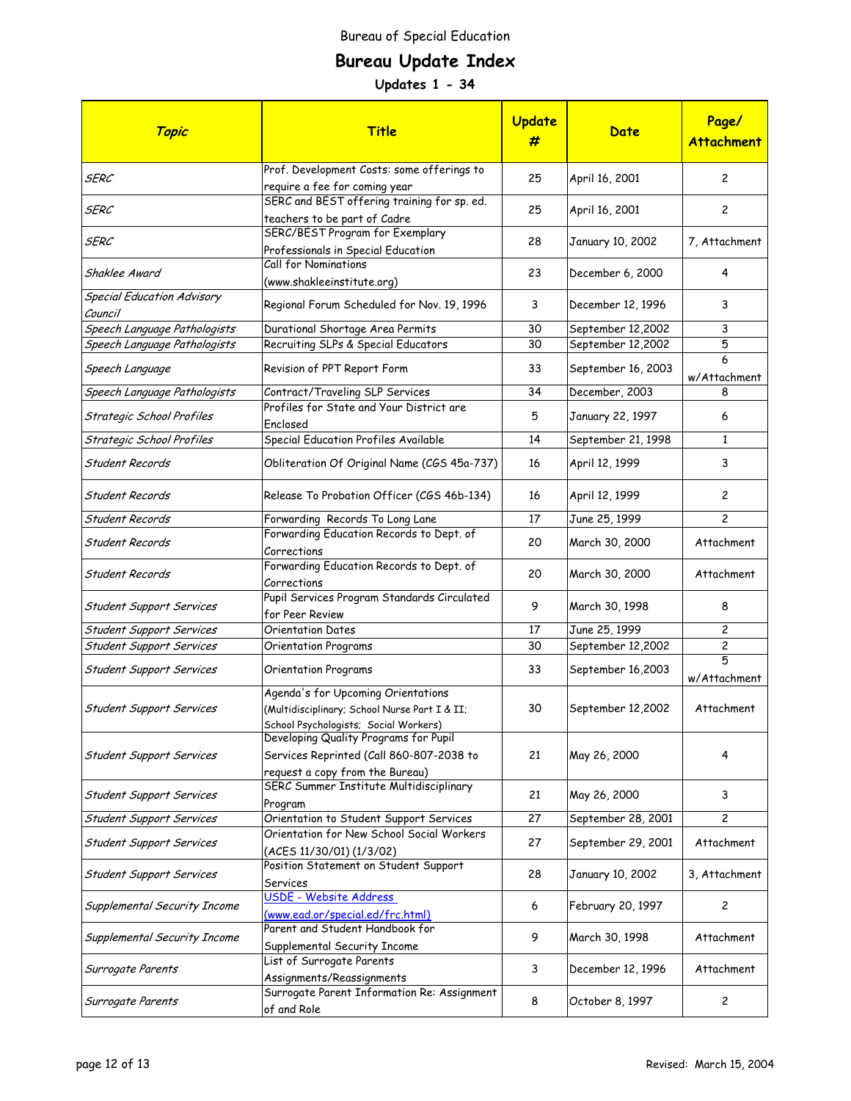# **Bureau Update Index**

| Topic                                        | <b>Title</b>                                                                                                                 | <b>Update</b><br># | Date               | Page/<br><b>Attachment</b> |
|----------------------------------------------|------------------------------------------------------------------------------------------------------------------------------|--------------------|--------------------|----------------------------|
| SERC                                         | Prof. Development Costs: some offerings to<br>require a fee for coming year                                                  | 25                 | April 16, 2001     | $\overline{c}$             |
| <b>SERC</b>                                  | SERC and BEST offering training for sp. ed.<br>teachers to be part of Cadre                                                  | 25                 | April 16, 2001     | 2                          |
| SERC                                         | SERC/BEST Program for Exemplary<br>Professionals in Special Education                                                        | 28                 | January 10, 2002   | 7, Attachment              |
| Shaklee Award                                | Call for Nominations<br>(www.shakleeinstitute.org)                                                                           | 23                 | December 6, 2000   | 4                          |
| <b>Special Education Advisory</b><br>Council | Regional Forum Scheduled for Nov. 19, 1996                                                                                   | 3                  | December 12, 1996  | 3                          |
| Speech Language Pathologists                 | Durational Shortage Area Permits                                                                                             | 30                 | September 12,2002  | 3                          |
| Speech Language Pathologists                 | Recruiting SLPs & Special Educators                                                                                          | 30                 | September 12,2002  | 5                          |
| Speech Language                              | Revision of PPT Report Form                                                                                                  | 33                 | September 16, 2003 | 6<br>w/Attachment          |
| Speech Language Pathologists                 | Contract/Traveling SLP Services                                                                                              | 34                 | December, 2003     | 8                          |
| Strategic School Profiles                    | Profiles for State and Your District are<br>Enclosed                                                                         | 5                  | January 22, 1997   | 6                          |
| Strategic School Profiles                    | Special Education Profiles Available                                                                                         | 14                 | September 21, 1998 | $\mathbf{1}$               |
| Student Records                              | Obliteration Of Original Name (CGS 45a-737)                                                                                  | 16                 | April 12, 1999     | 3                          |
| Student Records                              | Release To Probation Officer (CGS 46b-134)                                                                                   | 16                 | April 12, 1999     | $\overline{c}$             |
| Student Records                              | Forwarding Records To Long Lane                                                                                              | 17                 | June 25, 1999      | $\overline{c}$             |
| Student Records                              | Forwarding Education Records to Dept. of<br>Corrections                                                                      | 20                 | March 30, 2000     | Attachment                 |
| Student Records                              | Forwarding Education Records to Dept. of<br>Corrections                                                                      | 20                 | March 30, 2000     | Attachment                 |
| Student Support Services                     | Pupil Services Program Standards Circulated<br>for Peer Review                                                               | 9                  | March 30, 1998     | 8                          |
| Student Support Services                     | <b>Orientation Dates</b>                                                                                                     | 17                 | June 25, 1999      | $\overline{c}$             |
| Student Support Services                     | <b>Orientation Programs</b>                                                                                                  | 30                 | September 12,2002  | 2                          |
| Student Support Services                     | <b>Orientation Programs</b>                                                                                                  | 33                 | September 16,2003  | 5<br>w/Attachment          |
| Student Support Services                     | Agenda's for Upcoming Orientations<br>(Multidisciplinary; School Nurse Part I & II;<br>School Psychologists; Social Workers) | 30                 | September 12,2002  | Attachment                 |
| <b>Student Support Services</b>              | Developing Quality Programs for Pupil<br>Services Reprinted (Call 860-807-2038 to<br>request a copy from the Bureau)         | 21                 | May 26, 2000       | 4                          |
| Student Support Services                     | SERC Summer Institute Multidisciplinary<br>Program                                                                           | 21                 | May 26, 2000       | 3                          |
| Student Support Services                     | Orientation to Student Support Services                                                                                      | 27                 | September 28, 2001 | $\overline{c}$             |
| Student Support Services                     | Orientation for New School Social Workers<br>(ACES 11/30/01) (1/3/02)                                                        | 27                 | September 29, 2001 | Attachment                 |
| Student Support Services                     | Position Statement on Student Support<br>Services                                                                            | 28                 | January 10, 2002   | 3, Attachment              |
| Supplemental Security Income                 | USDE - Website Address<br>(www.ead.or/special.ed/frc.html)                                                                   | 6                  | February 20, 1997  | $\overline{c}$             |
| Supplemental Security Income                 | Parent and Student Handbook for<br>Supplemental Security Income                                                              | 9                  | March 30, 1998     | Attachment                 |
| Surrogate Parents                            | List of Surrogate Parents<br>Assignments/Reassignments                                                                       | 3                  | December 12, 1996  | Attachment                 |
| Surrogate Parents                            | Surrogate Parent Information Re: Assignment<br>of and Role                                                                   | 8                  | October 8, 1997    | 2                          |